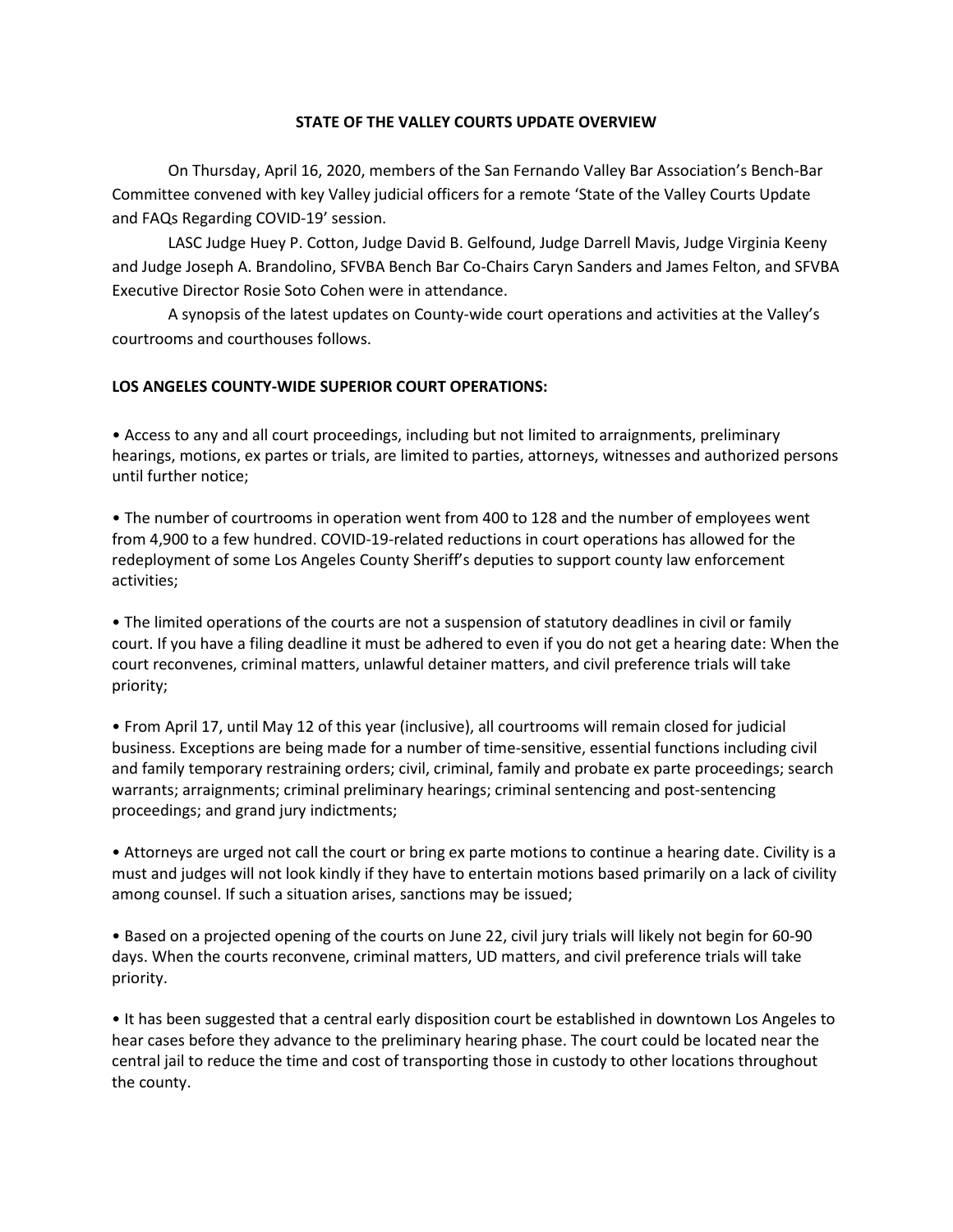# **STATE OF THE VALLEY COURTS UPDATE OVERVIEW**

On Thursday, April 16, 2020, members of the San Fernando Valley Bar Association's Bench-Bar Committee convened with key Valley judicial officers for a remote 'State of the Valley Courts Update and FAQs Regarding COVID-19' session.

LASC Judge Huey P. Cotton, Judge David B. Gelfound, Judge Darrell Mavis, Judge Virginia Keeny and Judge Joseph A. Brandolino, SFVBA Bench Bar Co-Chairs Caryn Sanders and James Felton, and SFVBA Executive Director Rosie Soto Cohen were in attendance.

A synopsis of the latest updates on County-wide court operations and activities at the Valley's courtrooms and courthouses follows.

# **LOS ANGELES COUNTY-WIDE SUPERIOR COURT OPERATIONS:**

• Access to any and all court proceedings, including but not limited to arraignments, preliminary hearings, motions, ex partes or trials, are limited to parties, attorneys, witnesses and authorized persons until further notice;

• The number of courtrooms in operation went from 400 to 128 and the number of employees went from 4,900 to a few hundred. COVID-19-related reductions in court operations has allowed for the redeployment of some Los Angeles County Sheriff's deputies to support county law enforcement activities;

• The limited operations of the courts are not a suspension of statutory deadlines in civil or family court. If you have a filing deadline it must be adhered to even if you do not get a hearing date: When the court reconvenes, criminal matters, unlawful detainer matters, and civil preference trials will take priority;

• From April 17, until May 12 of this year (inclusive), all courtrooms will remain closed for judicial business. Exceptions are being made for a number of time-sensitive, essential functions including civil and family temporary restraining orders; civil, criminal, family and probate ex parte proceedings; search warrants; arraignments; criminal preliminary hearings; criminal sentencing and post-sentencing proceedings; and grand jury indictments;

• Attorneys are urged not call the court or bring ex parte motions to continue a hearing date. Civility is a must and judges will not look kindly if they have to entertain motions based primarily on a lack of civility among counsel. If such a situation arises, sanctions may be issued;

• Based on a projected opening of the courts on June 22, civil jury trials will likely not begin for 60-90 days. When the courts reconvene, criminal matters, UD matters, and civil preference trials will take priority.

• It has been suggested that a central early disposition court be established in downtown Los Angeles to hear cases before they advance to the preliminary hearing phase. The court could be located near the central jail to reduce the time and cost of transporting those in custody to other locations throughout the county.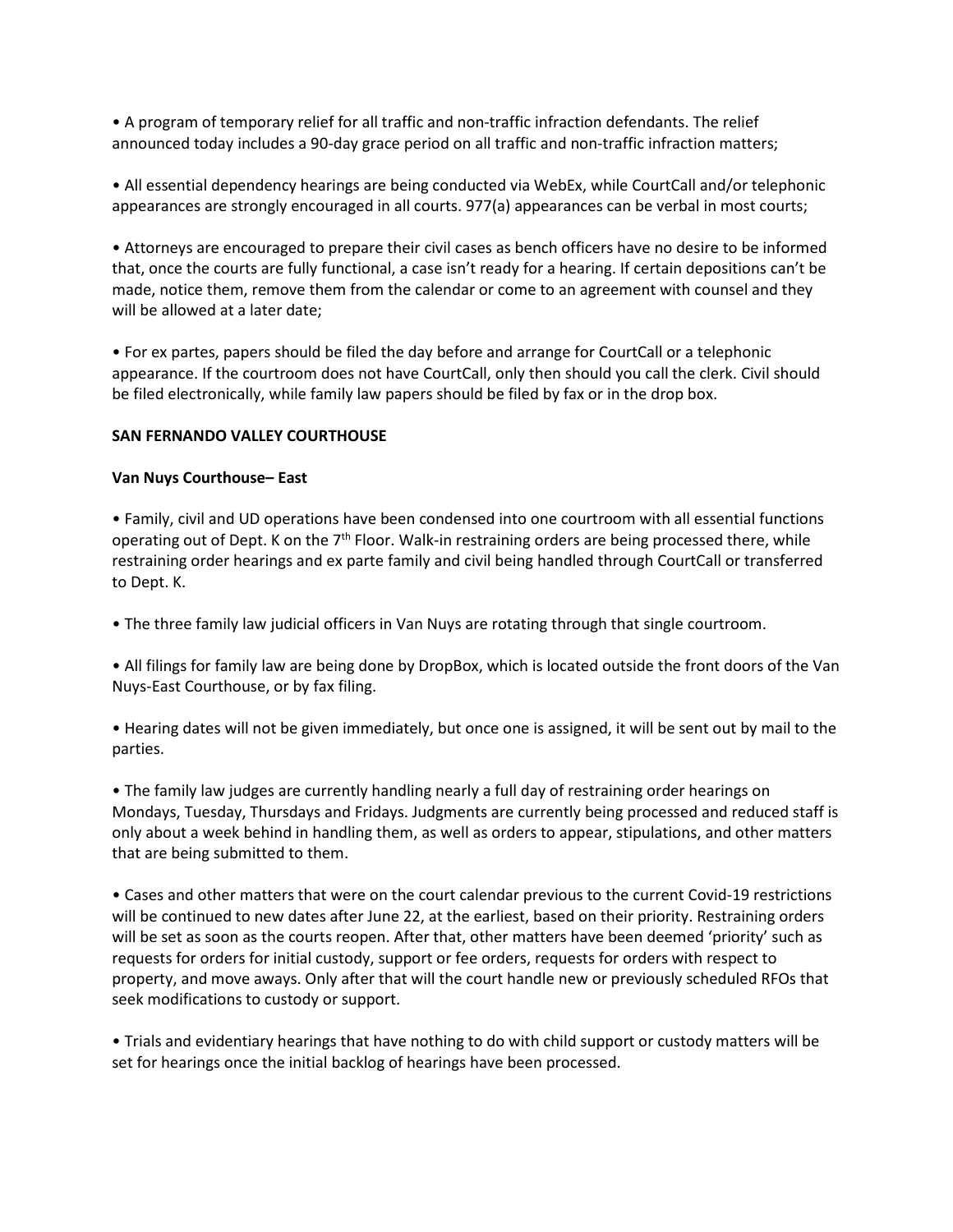• A program of temporary relief for all traffic and non-traffic infraction defendants. The relief announced today includes a 90-day grace period on all traffic and non-traffic infraction matters;

• All essential dependency hearings are being conducted via WebEx, while CourtCall and/or telephonic appearances are strongly encouraged in all courts. 977(a) appearances can be verbal in most courts;

• Attorneys are encouraged to prepare their civil cases as bench officers have no desire to be informed that, once the courts are fully functional, a case isn't ready for a hearing. If certain depositions can't be made, notice them, remove them from the calendar or come to an agreement with counsel and they will be allowed at a later date;

• For ex partes, papers should be filed the day before and arrange for CourtCall or a telephonic appearance. If the courtroom does not have CourtCall, only then should you call the clerk. Civil should be filed electronically, while family law papers should be filed by fax or in the drop box.

# **SAN FERNANDO VALLEY COURTHOUSE**

## **Van Nuys Courthouse– East**

• Family, civil and UD operations have been condensed into one courtroom with all essential functions operating out of Dept. K on the  $7<sup>th</sup>$  Floor. Walk-in restraining orders are being processed there, while restraining order hearings and ex parte family and civil being handled through CourtCall or transferred to Dept. K.

• The three family law judicial officers in Van Nuys are rotating through that single courtroom.

• All filings for family law are being done by DropBox, which is located outside the front doors of the Van Nuys-East Courthouse, or by fax filing.

• Hearing dates will not be given immediately, but once one is assigned, it will be sent out by mail to the parties.

• The family law judges are currently handling nearly a full day of restraining order hearings on Mondays, Tuesday, Thursdays and Fridays. Judgments are currently being processed and reduced staff is only about a week behind in handling them, as well as orders to appear, stipulations, and other matters that are being submitted to them.

• Cases and other matters that were on the court calendar previous to the current Covid-19 restrictions will be continued to new dates after June 22, at the earliest, based on their priority. Restraining orders will be set as soon as the courts reopen. After that, other matters have been deemed 'priority' such as requests for orders for initial custody, support or fee orders, requests for orders with respect to property, and move aways. Only after that will the court handle new or previously scheduled RFOs that seek modifications to custody or support.

• Trials and evidentiary hearings that have nothing to do with child support or custody matters will be set for hearings once the initial backlog of hearings have been processed.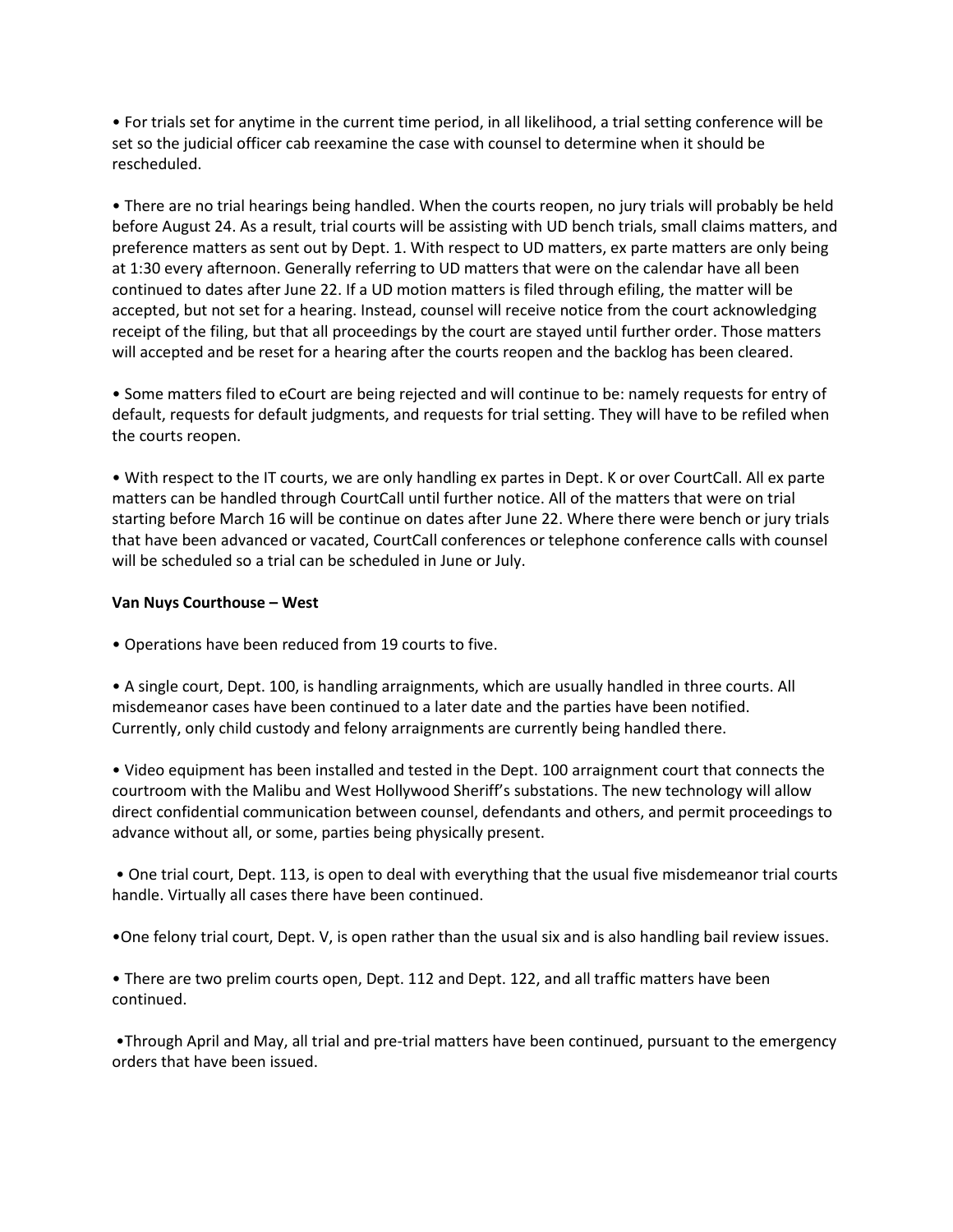• For trials set for anytime in the current time period, in all likelihood, a trial setting conference will be set so the judicial officer cab reexamine the case with counsel to determine when it should be rescheduled.

• There are no trial hearings being handled. When the courts reopen, no jury trials will probably be held before August 24. As a result, trial courts will be assisting with UD bench trials, small claims matters, and preference matters as sent out by Dept. 1. With respect to UD matters, ex parte matters are only being at 1:30 every afternoon. Generally referring to UD matters that were on the calendar have all been continued to dates after June 22. If a UD motion matters is filed through efiling, the matter will be accepted, but not set for a hearing. Instead, counsel will receive notice from the court acknowledging receipt of the filing, but that all proceedings by the court are stayed until further order. Those matters will accepted and be reset for a hearing after the courts reopen and the backlog has been cleared.

• Some matters filed to eCourt are being rejected and will continue to be: namely requests for entry of default, requests for default judgments, and requests for trial setting. They will have to be refiled when the courts reopen.

• With respect to the IT courts, we are only handling ex partes in Dept. K or over CourtCall. All ex parte matters can be handled through CourtCall until further notice. All of the matters that were on trial starting before March 16 will be continue on dates after June 22. Where there were bench or jury trials that have been advanced or vacated, CourtCall conferences or telephone conference calls with counsel will be scheduled so a trial can be scheduled in June or July.

## **Van Nuys Courthouse – West**

• Operations have been reduced from 19 courts to five.

• A single court, Dept. 100, is handling arraignments, which are usually handled in three courts. All misdemeanor cases have been continued to a later date and the parties have been notified. Currently, only child custody and felony arraignments are currently being handled there.

• Video equipment has been installed and tested in the Dept. 100 arraignment court that connects the courtroom with the Malibu and West Hollywood Sheriff's substations. The new technology will allow direct confidential communication between counsel, defendants and others, and permit proceedings to advance without all, or some, parties being physically present.

• One trial court, Dept. 113, is open to deal with everything that the usual five misdemeanor trial courts handle. Virtually all cases there have been continued.

•One felony trial court, Dept. V, is open rather than the usual six and is also handling bail review issues.

• There are two prelim courts open, Dept. 112 and Dept. 122, and all traffic matters have been continued.

•Through April and May, all trial and pre-trial matters have been continued, pursuant to the emergency orders that have been issued.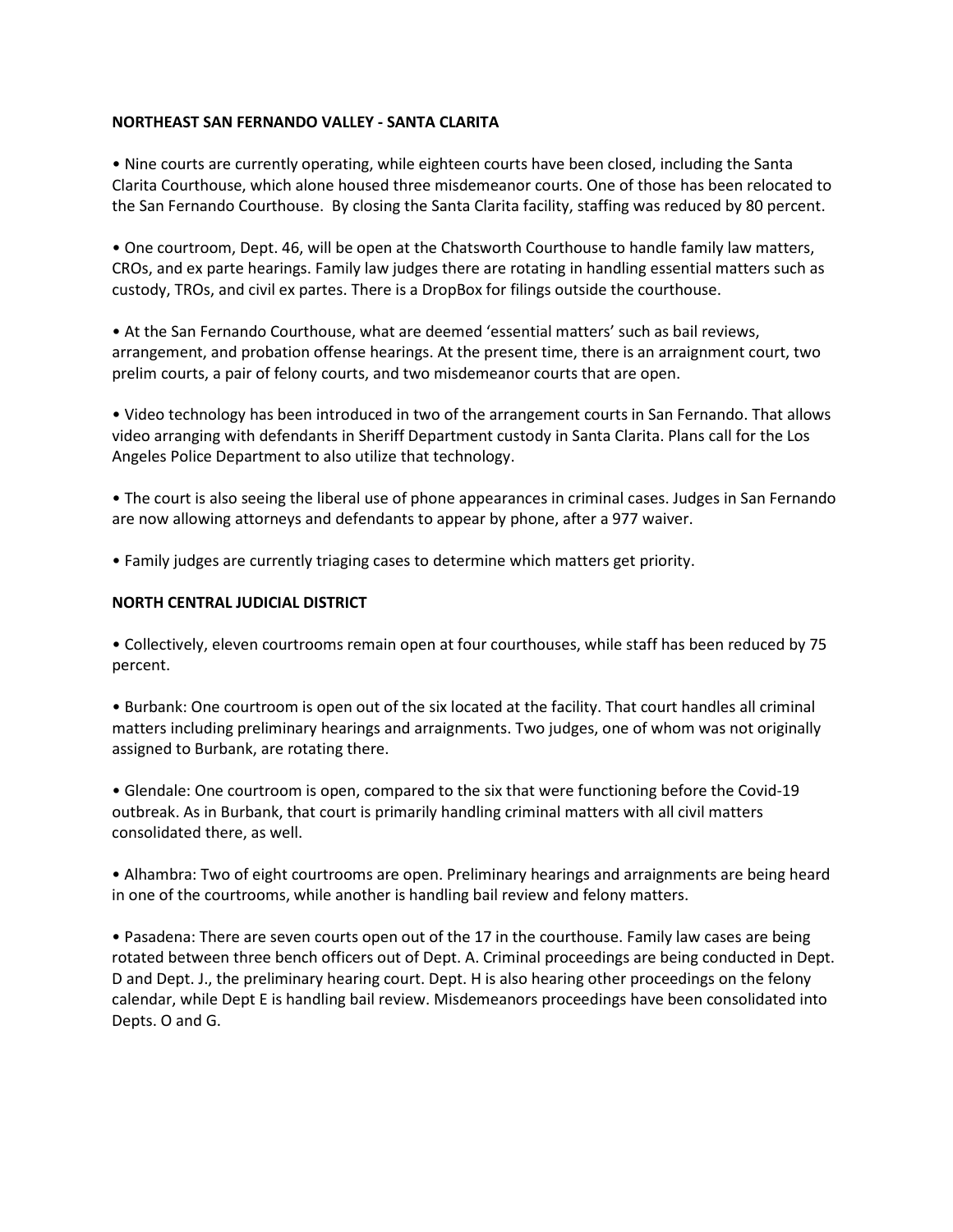# **NORTHEAST SAN FERNANDO VALLEY - SANTA CLARITA**

• Nine courts are currently operating, while eighteen courts have been closed, including the Santa Clarita Courthouse, which alone housed three misdemeanor courts. One of those has been relocated to the San Fernando Courthouse. By closing the Santa Clarita facility, staffing was reduced by 80 percent.

• One courtroom, Dept. 46, will be open at the Chatsworth Courthouse to handle family law matters, CROs, and ex parte hearings. Family law judges there are rotating in handling essential matters such as custody, TROs, and civil ex partes. There is a DropBox for filings outside the courthouse.

• At the San Fernando Courthouse, what are deemed 'essential matters' such as bail reviews, arrangement, and probation offense hearings. At the present time, there is an arraignment court, two prelim courts, a pair of felony courts, and two misdemeanor courts that are open.

• Video technology has been introduced in two of the arrangement courts in San Fernando. That allows video arranging with defendants in Sheriff Department custody in Santa Clarita. Plans call for the Los Angeles Police Department to also utilize that technology.

• The court is also seeing the liberal use of phone appearances in criminal cases. Judges in San Fernando are now allowing attorneys and defendants to appear by phone, after a 977 waiver.

• Family judges are currently triaging cases to determine which matters get priority.

#### **NORTH CENTRAL JUDICIAL DISTRICT**

• Collectively, eleven courtrooms remain open at four courthouses, while staff has been reduced by 75 percent.

• Burbank: One courtroom is open out of the six located at the facility. That court handles all criminal matters including preliminary hearings and arraignments. Two judges, one of whom was not originally assigned to Burbank, are rotating there.

• Glendale: One courtroom is open, compared to the six that were functioning before the Covid-19 outbreak. As in Burbank, that court is primarily handling criminal matters with all civil matters consolidated there, as well.

• Alhambra: Two of eight courtrooms are open. Preliminary hearings and arraignments are being heard in one of the courtrooms, while another is handling bail review and felony matters.

• Pasadena: There are seven courts open out of the 17 in the courthouse. Family law cases are being rotated between three bench officers out of Dept. A. Criminal proceedings are being conducted in Dept. D and Dept. J., the preliminary hearing court. Dept. H is also hearing other proceedings on the felony calendar, while Dept E is handling bail review. Misdemeanors proceedings have been consolidated into Depts. O and G.